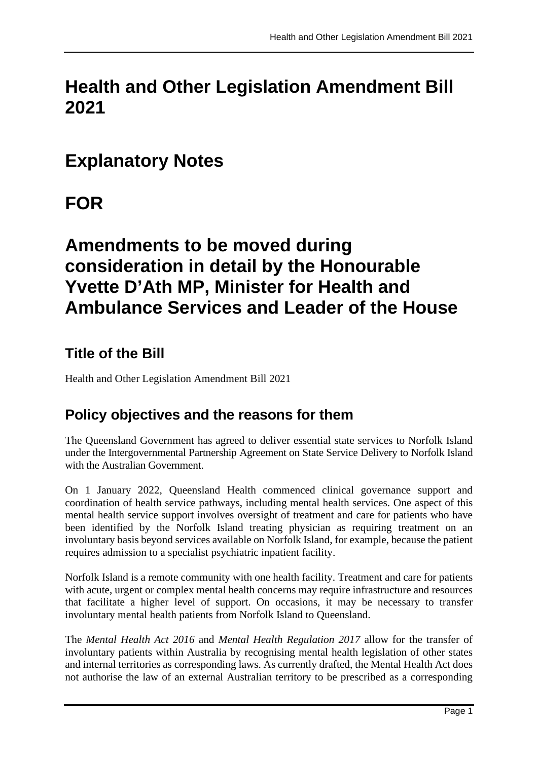# **Health and Other Legislation Amendment Bill 2021**

## **Explanatory Notes**

# **FOR**

## **Amendments to be moved during consideration in detail by the Honourable Yvette D'Ath MP, Minister for Health and Ambulance Services and Leader of the House**

### **Title of the Bill**

Health and Other Legislation Amendment Bill 2021

### **Policy objectives and the reasons for them**

The Queensland Government has agreed to deliver essential state services to Norfolk Island under the Intergovernmental Partnership Agreement on State Service Delivery to Norfolk Island with the Australian Government.

On 1 January 2022, Queensland Health commenced clinical governance support and coordination of health service pathways, including mental health services. One aspect of this mental health service support involves oversight of treatment and care for patients who have been identified by the Norfolk Island treating physician as requiring treatment on an involuntary basis beyond services available on Norfolk Island, for example, because the patient requires admission to a specialist psychiatric inpatient facility.

Norfolk Island is a remote community with one health facility. Treatment and care for patients with acute, urgent or complex mental health concerns may require infrastructure and resources that facilitate a higher level of support. On occasions, it may be necessary to transfer involuntary mental health patients from Norfolk Island to Queensland.

The *Mental Health Act 2016* and *Mental Health Regulation 2017* allow for the transfer of involuntary patients within Australia by recognising mental health legislation of other states and internal territories as corresponding laws. As currently drafted, the Mental Health Act does not authorise the law of an external Australian territory to be prescribed as a corresponding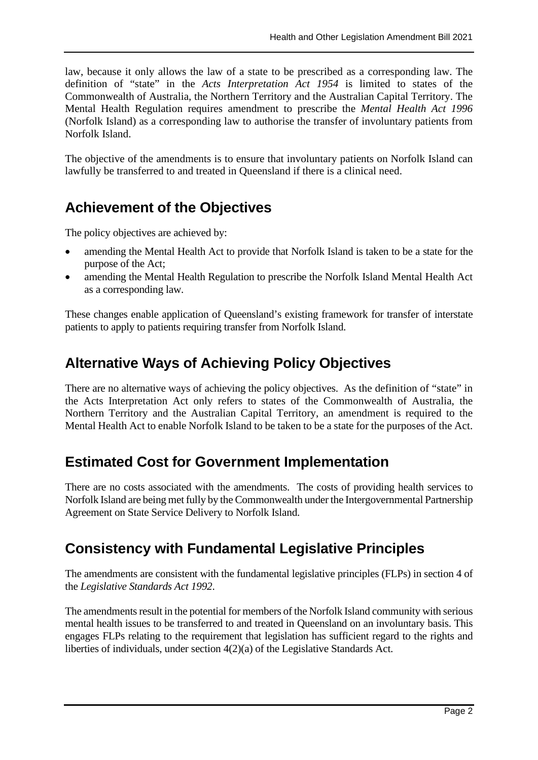law, because it only allows the law of a state to be prescribed as a corresponding law. The definition of "state" in the *Acts Interpretation Act 1954* is limited to states of the Commonwealth of Australia, the Northern Territory and the Australian Capital Territory. The Mental Health Regulation requires amendment to prescribe the *Mental Health Act 1996* (Norfolk Island) as a corresponding law to authorise the transfer of involuntary patients from Norfolk Island.

The objective of the amendments is to ensure that involuntary patients on Norfolk Island can lawfully be transferred to and treated in Queensland if there is a clinical need.

### **Achievement of the Objectives**

The policy objectives are achieved by:

- amending the Mental Health Act to provide that Norfolk Island is taken to be a state for the purpose of the Act;
- amending the Mental Health Regulation to prescribe the Norfolk Island Mental Health Act as a corresponding law.

These changes enable application of Queensland's existing framework for transfer of interstate patients to apply to patients requiring transfer from Norfolk Island.

### **Alternative Ways of Achieving Policy Objectives**

There are no alternative ways of achieving the policy objectives. As the definition of "state" in the Acts Interpretation Act only refers to states of the Commonwealth of Australia, the Northern Territory and the Australian Capital Territory, an amendment is required to the Mental Health Act to enable Norfolk Island to be taken to be a state for the purposes of the Act.

### **Estimated Cost for Government Implementation**

There are no costs associated with the amendments. The costs of providing health services to Norfolk Island are being met fully by the Commonwealth under the Intergovernmental Partnership Agreement on State Service Delivery to Norfolk Island.

### **Consistency with Fundamental Legislative Principles**

The amendments are consistent with the fundamental legislative principles (FLPs) in section 4 of the *Legislative Standards Act 1992*.

The amendments result in the potential for members of the Norfolk Island community with serious mental health issues to be transferred to and treated in Queensland on an involuntary basis. This engages FLPs relating to the requirement that legislation has sufficient regard to the rights and liberties of individuals, under section 4(2)(a) of the Legislative Standards Act.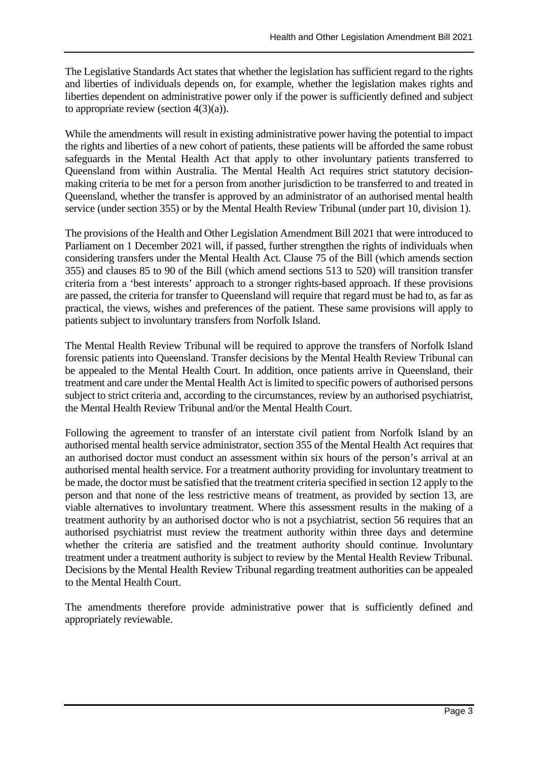The Legislative Standards Act states that whether the legislation has sufficient regard to the rights and liberties of individuals depends on, for example, whether the legislation makes rights and liberties dependent on administrative power only if the power is sufficiently defined and subject to appropriate review (section  $4(3)(a)$ ).

While the amendments will result in existing administrative power having the potential to impact the rights and liberties of a new cohort of patients, these patients will be afforded the same robust safeguards in the Mental Health Act that apply to other involuntary patients transferred to Queensland from within Australia. The Mental Health Act requires strict statutory decisionmaking criteria to be met for a person from another jurisdiction to be transferred to and treated in Queensland, whether the transfer is approved by an administrator of an authorised mental health service (under section 355) or by the Mental Health Review Tribunal (under part 10, division 1).

The provisions of the Health and Other Legislation Amendment Bill 2021 that were introduced to Parliament on 1 December 2021 will, if passed, further strengthen the rights of individuals when considering transfers under the Mental Health Act. Clause 75 of the Bill (which amends section 355) and clauses 85 to 90 of the Bill (which amend sections 513 to 520) will transition transfer criteria from a 'best interests' approach to a stronger rights-based approach. If these provisions are passed, the criteria for transfer to Queensland will require that regard must be had to, as far as practical, the views, wishes and preferences of the patient. These same provisions will apply to patients subject to involuntary transfers from Norfolk Island.

The Mental Health Review Tribunal will be required to approve the transfers of Norfolk Island forensic patients into Queensland. Transfer decisions by the Mental Health Review Tribunal can be appealed to the Mental Health Court. In addition, once patients arrive in Queensland, their treatment and care under the Mental Health Act is limited to specific powers of authorised persons subject to strict criteria and, according to the circumstances, review by an authorised psychiatrist, the Mental Health Review Tribunal and/or the Mental Health Court.

Following the agreement to transfer of an interstate civil patient from Norfolk Island by an authorised mental health service administrator, section 355 of the Mental Health Act requires that an authorised doctor must conduct an assessment within six hours of the person's arrival at an authorised mental health service. For a treatment authority providing for involuntary treatment to be made, the doctor must be satisfied that the treatment criteria specified in section 12 apply to the person and that none of the less restrictive means of treatment, as provided by section 13, are viable alternatives to involuntary treatment. Where this assessment results in the making of a treatment authority by an authorised doctor who is not a psychiatrist, section 56 requires that an authorised psychiatrist must review the treatment authority within three days and determine whether the criteria are satisfied and the treatment authority should continue. Involuntary treatment under a treatment authority is subject to review by the Mental Health Review Tribunal. Decisions by the Mental Health Review Tribunal regarding treatment authorities can be appealed to the Mental Health Court.

The amendments therefore provide administrative power that is sufficiently defined and appropriately reviewable.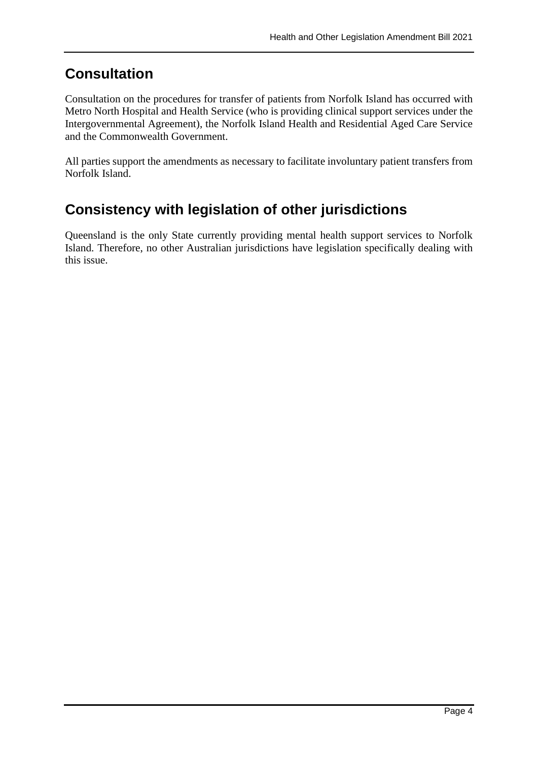### **Consultation**

Consultation on the procedures for transfer of patients from Norfolk Island has occurred with Metro North Hospital and Health Service (who is providing clinical support services under the Intergovernmental Agreement), the Norfolk Island Health and Residential Aged Care Service and the Commonwealth Government.

All parties support the amendments as necessary to facilitate involuntary patient transfers from Norfolk Island.

### **Consistency with legislation of other jurisdictions**

Queensland is the only State currently providing mental health support services to Norfolk Island. Therefore, no other Australian jurisdictions have legislation specifically dealing with this issue.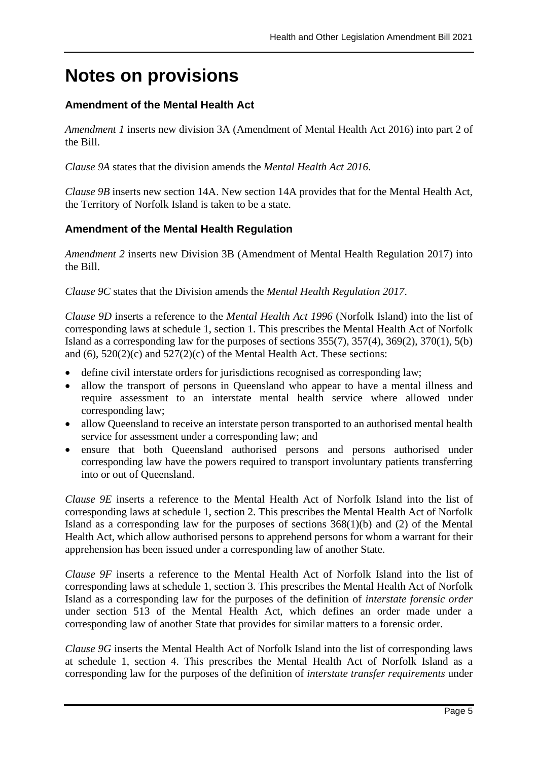# **Notes on provisions**

#### **Amendment of the Mental Health Act**

*Amendment 1* inserts new division 3A (Amendment of Mental Health Act 2016) into part 2 of the Bill.

*Clause 9A* states that the division amends the *Mental Health Act 2016*.

*Clause 9B* inserts new section 14A. New section 14A provides that for the Mental Health Act, the Territory of Norfolk Island is taken to be a state.

#### **Amendment of the Mental Health Regulation**

*Amendment 2* inserts new Division 3B (Amendment of Mental Health Regulation 2017) into the Bill.

*Clause 9C* states that the Division amends the *Mental Health Regulation 2017*.

*Clause 9D* inserts a reference to the *Mental Health Act 1996* (Norfolk Island) into the list of corresponding laws at schedule 1, section 1. This prescribes the Mental Health Act of Norfolk Island as a corresponding law for the purposes of sections  $355(7)$ ,  $357(4)$ ,  $369(2)$ ,  $370(1)$ ,  $5(b)$ and  $(6)$ ,  $520(2)(c)$  and  $527(2)(c)$  of the Mental Health Act. These sections:

- define civil interstate orders for jurisdictions recognised as corresponding law;
- allow the transport of persons in Queensland who appear to have a mental illness and require assessment to an interstate mental health service where allowed under corresponding law;
- allow Queensland to receive an interstate person transported to an authorised mental health service for assessment under a corresponding law; and
- ensure that both Queensland authorised persons and persons authorised under corresponding law have the powers required to transport involuntary patients transferring into or out of Queensland.

*Clause 9E* inserts a reference to the Mental Health Act of Norfolk Island into the list of corresponding laws at schedule 1, section 2. This prescribes the Mental Health Act of Norfolk Island as a corresponding law for the purposes of sections 368(1)(b) and (2) of the Mental Health Act, which allow authorised persons to apprehend persons for whom a warrant for their apprehension has been issued under a corresponding law of another State.

*Clause 9F* inserts a reference to the Mental Health Act of Norfolk Island into the list of corresponding laws at schedule 1, section 3. This prescribes the Mental Health Act of Norfolk Island as a corresponding law for the purposes of the definition of *interstate forensic order* under section 513 of the Mental Health Act, which defines an order made under a corresponding law of another State that provides for similar matters to a forensic order.

*Clause 9G* inserts the Mental Health Act of Norfolk Island into the list of corresponding laws at schedule 1, section 4. This prescribes the Mental Health Act of Norfolk Island as a corresponding law for the purposes of the definition of *interstate transfer requirements* under